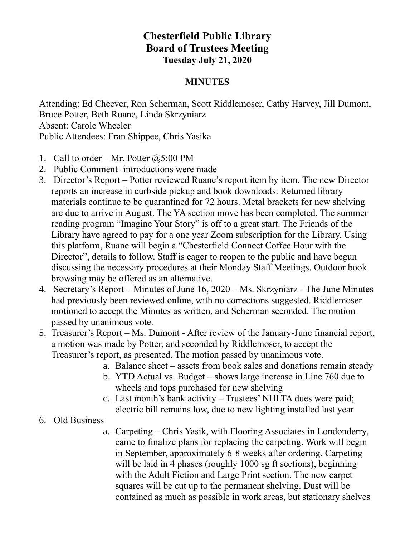## **Chesterfield Public Library Board of Trustees Meeting Tuesday July 21, 2020**

## **MINUTES**

Attending: Ed Cheever, Ron Scherman, Scott Riddlemoser, Cathy Harvey, Jill Dumont, Bruce Potter, Beth Ruane, Linda Skrzyniarz Absent: Carole Wheeler Public Attendees: Fran Shippee, Chris Yasika

- 1. Call to order Mr. Potter  $(2.5:00 \text{ PM})$
- 2. Public Comment- introductions were made
- 3. Director's Report Potter reviewed Ruane's report item by item. The new Director reports an increase in curbside pickup and book downloads. Returned library materials continue to be quarantined for 72 hours. Metal brackets for new shelving are due to arrive in August. The YA section move has been completed. The summer reading program "Imagine Your Story" is off to a great start. The Friends of the Library have agreed to pay for a one year Zoom subscription for the Library. Using this platform, Ruane will begin a "Chesterfield Connect Coffee Hour with the Director", details to follow. Staff is eager to reopen to the public and have begun discussing the necessary procedures at their Monday Staff Meetings. Outdoor book browsing may be offered as an alternative.
- 4. Secretary's Report Minutes of June 16, 2020 Ms. Skrzyniarz The June Minutes had previously been reviewed online, with no corrections suggested. Riddlemoser motioned to accept the Minutes as written, and Scherman seconded. The motion passed by unanimous vote.
- 5. Treasurer's Report Ms. Dumont After review of the January-June financial report, a motion was made by Potter, and seconded by Riddlemoser, to accept the Treasurer's report, as presented. The motion passed by unanimous vote.
	- a. Balance sheet assets from book sales and donations remain steady
	- b. YTD Actual vs. Budget shows large increase in Line 760 due to wheels and tops purchased for new shelving
	- c. Last month's bank activity Trustees' NHLTA dues were paid; electric bill remains low, due to new lighting installed last year
- 6. Old Business
	- a. Carpeting Chris Yasik, with Flooring Associates in Londonderry, came to finalize plans for replacing the carpeting. Work will begin in September, approximately 6-8 weeks after ordering. Carpeting will be laid in 4 phases (roughly 1000 sg ft sections), beginning with the Adult Fiction and Large Print section. The new carpet squares will be cut up to the permanent shelving. Dust will be contained as much as possible in work areas, but stationary shelves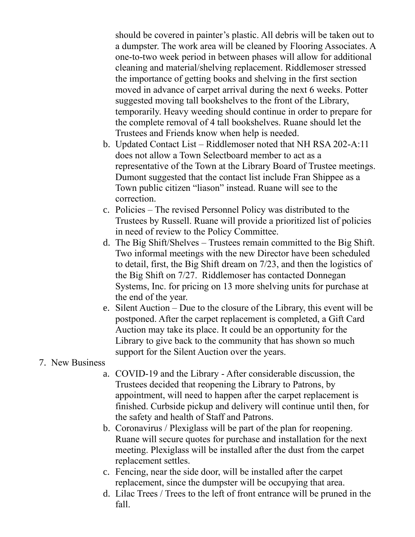should be covered in painter's plastic. All debris will be taken out to a dumpster. The work area will be cleaned by Flooring Associates. A one-to-two week period in between phases will allow for additional cleaning and material/shelving replacement. Riddlemoser stressed the importance of getting books and shelving in the first section moved in advance of carpet arrival during the next 6 weeks. Potter suggested moving tall bookshelves to the front of the Library, temporarily. Heavy weeding should continue in order to prepare for the complete removal of 4 tall bookshelves. Ruane should let the Trustees and Friends know when help is needed.

- b. Updated Contact List Riddlemoser noted that NH RSA 202-A:11 does not allow a Town Selectboard member to act as a representative of the Town at the Library Board of Trustee meetings. Dumont suggested that the contact list include Fran Shippee as a Town public citizen "liason" instead. Ruane will see to the correction.
- c. Policies The revised Personnel Policy was distributed to the Trustees by Russell. Ruane will provide a prioritized list of policies in need of review to the Policy Committee.
- d. The Big Shift/Shelves Trustees remain committed to the Big Shift. Two informal meetings with the new Director have been scheduled to detail, first, the Big Shift dream on 7/23, and then the logistics of the Big Shift on 7/27. Riddlemoser has contacted Donnegan Systems, Inc. for pricing on 13 more shelving units for purchase at the end of the year.
- e. Silent Auction Due to the closure of the Library, this event will be postponed. After the carpet replacement is completed, a Gift Card Auction may take its place. It could be an opportunity for the Library to give back to the community that has shown so much support for the Silent Auction over the years.
- 7. New Business
	- a. COVID-19 and the Library After considerable discussion, the Trustees decided that reopening the Library to Patrons, by appointment, will need to happen after the carpet replacement is finished. Curbside pickup and delivery will continue until then, for the safety and health of Staff and Patrons.
	- b. Coronavirus / Plexiglass will be part of the plan for reopening. Ruane will secure quotes for purchase and installation for the next meeting. Plexiglass will be installed after the dust from the carpet replacement settles.
	- c. Fencing, near the side door, will be installed after the carpet replacement, since the dumpster will be occupying that area.
	- d. Lilac Trees / Trees to the left of front entrance will be pruned in the fall.